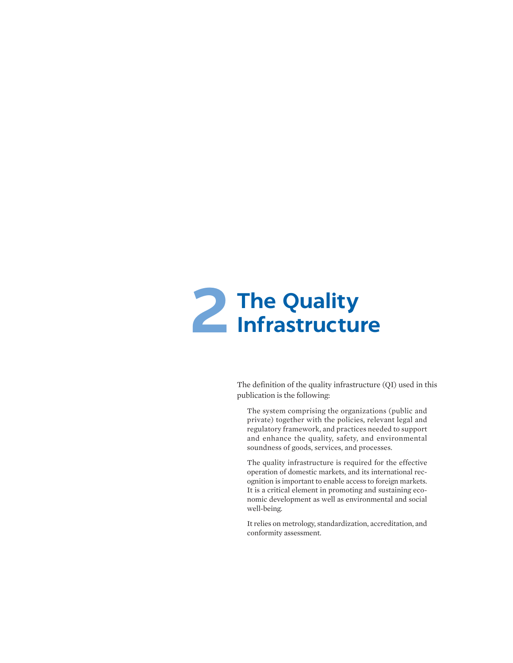

The definition of the quality infrastructure (QI) used in this publication is the following:

The system comprising the organizations (public and private) together with the policies, relevant legal and regulatory framework, and practices needed to support and enhance the quality, safety, and environmental soundness of goods, services, and processes.

The quality infrastructure is required for the effective operation of domestic markets, and its international recognition is important to enable access to foreign markets. It is a critical element in promoting and sustaining economic development as well as environmental and social well-being.

It relies on metrology, standardization, accreditation, and conformity assessment.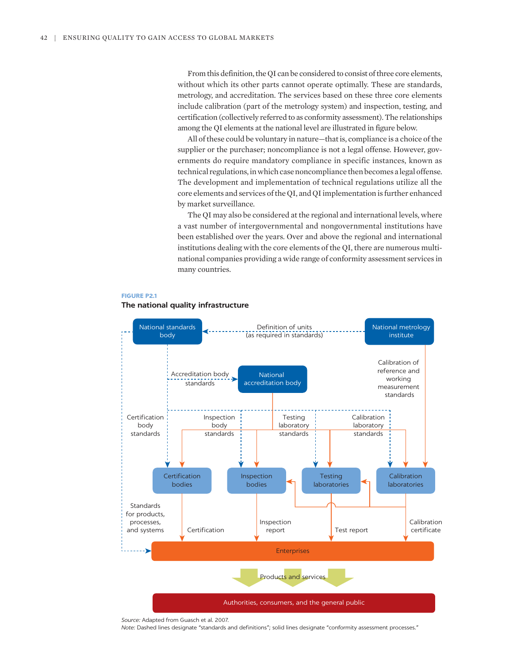From this definition, the QI can be considered to consist of three core elements, without which its other parts cannot operate optimally. These are standards, metrology, and accreditation. The services based on these three core elements include calibration (part of the metrology system) and inspection, testing, and certification (collectively referred to as conformity assessment). The relationships among the QI elements at the national level are illustrated in figure below.

All of these could be voluntary in nature—that is, compliance is a choice of the supplier or the purchaser; noncompliance is not a legal offense. However, governments do require mandatory compliance in specific instances, known as technical regulations, in which case noncompliance then becomes a legal offense. The development and implementation of technical regulations utilize all the core elements and services of the QI, and QI implementation is further enhanced by market surveillance.

The QI may also be considered at the regional and international levels, where a vast number of intergovernmental and nongovernmental institutions have been established over the years. Over and above the regional and international institutions dealing with the core elements of the QI, there are numerous multinational companies providing a wide range of conformity assessment services in many countries.





## **The national quality infrastructure**

*Source:* Adapted from Guasch et al. 2007. *Note:* Dashed lines designate "standards and definitions"; solid lines designate "conformity assessment processes."